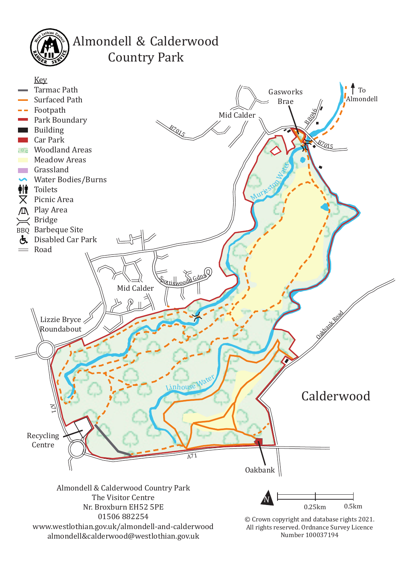